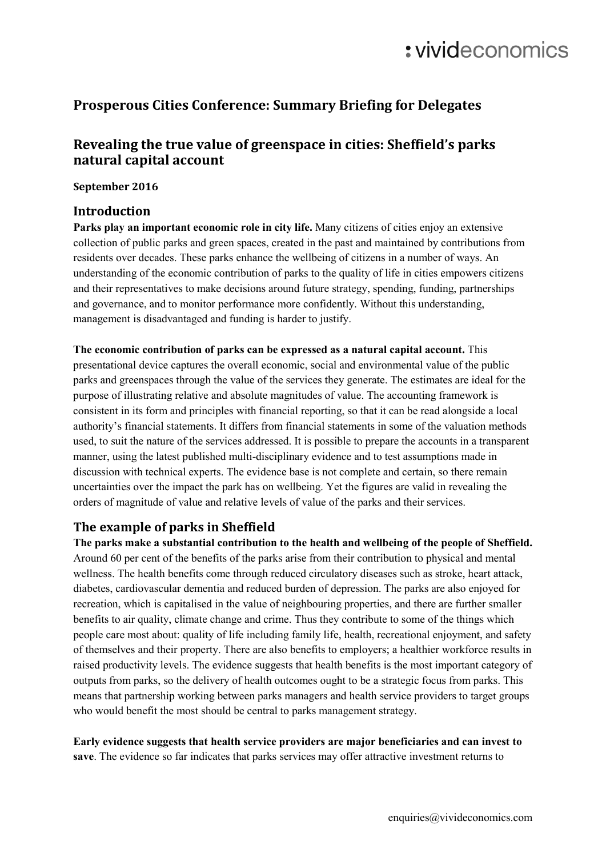# : vivideconomics

# **Prosperous Cities Conference: Summary Briefing for Delegates**

## **Revealing the true value of greenspace in cities: Sheffield's parks natural capital account**

#### **September 2016**

#### **Introduction**

**Parks play an important economic role in city life.** Many citizens of cities enjoy an extensive collection of public parks and green spaces, created in the past and maintained by contributions from residents over decades. These parks enhance the wellbeing of citizens in a number of ways. An understanding of the economic contribution of parks to the quality of life in cities empowers citizens and their representatives to make decisions around future strategy, spending, funding, partnerships and governance, and to monitor performance more confidently. Without this understanding, management is disadvantaged and funding is harder to justify.

**The economic contribution of parks can be expressed as a natural capital account.** This presentational device captures the overall economic, social and environmental value of the public parks and greenspaces through the value of the services they generate. The estimates are ideal for the purpose of illustrating relative and absolute magnitudes of value. The accounting framework is consistent in its form and principles with financial reporting, so that it can be read alongside a local authority's financial statements. It differs from financial statements in some of the valuation methods used, to suit the nature of the services addressed. It is possible to prepare the accounts in a transparent manner, using the latest published multi-disciplinary evidence and to test assumptions made in discussion with technical experts. The evidence base is not complete and certain, so there remain uncertainties over the impact the park has on wellbeing. Yet the figures are valid in revealing the orders of magnitude of value and relative levels of value of the parks and their services.

## **The example of parks in Sheffield**

**The parks make a substantial contribution to the health and wellbeing of the people of Sheffield.** Around 60 per cent of the benefits of the parks arise from their contribution to physical and mental wellness. The health benefits come through reduced circulatory diseases such as stroke, heart attack, diabetes, cardiovascular dementia and reduced burden of depression. The parks are also enjoyed for recreation, which is capitalised in the value of neighbouring properties, and there are further smaller benefits to air quality, climate change and crime. Thus they contribute to some of the things which people care most about: quality of life including family life, health, recreational enjoyment, and safety of themselves and their property. There are also benefits to employers; a healthier workforce results in raised productivity levels. The evidence suggests that health benefits is the most important category of outputs from parks, so the delivery of health outcomes ought to be a strategic focus from parks. This means that partnership working between parks managers and health service providers to target groups who would benefit the most should be central to parks management strategy.

**Early evidence suggests that health service providers are major beneficiaries and can invest to save**. The evidence so far indicates that parks services may offer attractive investment returns to